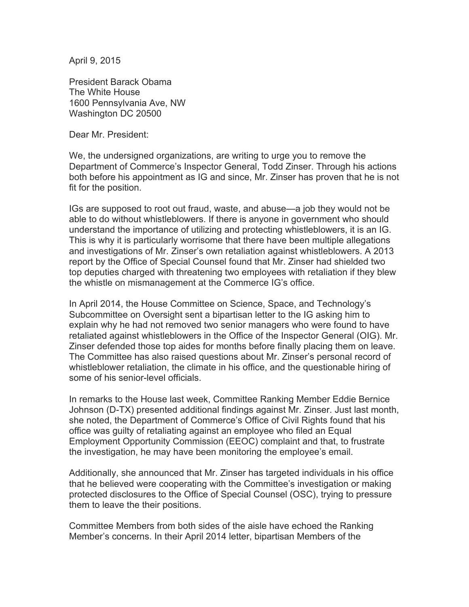April 9, 2015

President Barack Obama The White House 1600 Pennsylvania Ave, NW Washington DC 20500

Dear Mr. President:

We, the undersigned organizations, are writing to urge you to remove the Department of Commerce's Inspector General, Todd Zinser. Through his actions both before his appointment as IG and since, Mr. Zinser has proven that he is not fit for the position.

IGs are supposed to root out fraud, waste, and abuse—a job they would not be able to do without whistleblowers. If there is anyone in government who should understand the importance of utilizing and protecting whistleblowers, it is an IG. This is why it is particularly worrisome that there have been multiple allegations and investigations of Mr. Zinser's own retaliation against whistleblowers. A 2013 report by the Office of Special Counsel found that Mr. Zinser had shielded two top deputies charged with threatening two employees with retaliation if they blew the whistle on mismanagement at the Commerce IG's office.

In April 2014, the House Committee on Science, Space, and Technology's Subcommittee on Oversight sent a bipartisan letter to the IG asking him to explain why he had not removed two senior managers who were found to have retaliated against whistleblowers in the Office of the Inspector General (OIG). Mr. Zinser defended those top aides for months before finally placing them on leave. The Committee has also raised questions about Mr. Zinser's personal record of whistleblower retaliation, the climate in his office, and the questionable hiring of some of his senior-level officials.

In remarks to the House last week, Committee Ranking Member Eddie Bernice Johnson (D-TX) presented additional findings against Mr. Zinser. Just last month, she noted, the Department of Commerce's Office of Civil Rights found that his office was guilty of retaliating against an employee who filed an Equal Employment Opportunity Commission (EEOC) complaint and that, to frustrate the investigation, he may have been monitoring the employee's email.

Additionally, she announced that Mr. Zinser has targeted individuals in his office that he believed were cooperating with the Committee's investigation or making protected disclosures to the Office of Special Counsel (OSC), trying to pressure them to leave the their positions.

Committee Members from both sides of the aisle have echoed the Ranking Member's concerns. In their April 2014 letter, bipartisan Members of the